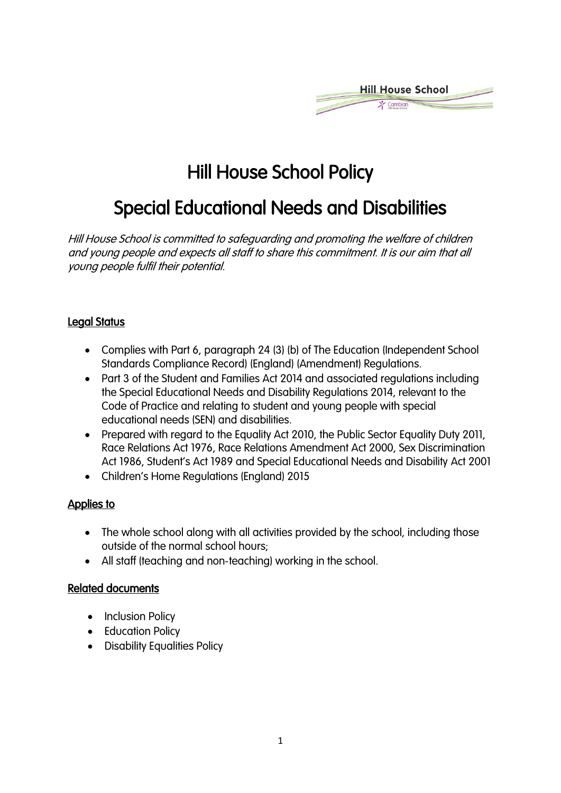

# Hill House School Policy

# Special Educational Needs and Disabilities

Hill House School is committed to safeguarding and promoting the welfare of children and young people and expects all staff to share this commitment. It is our aim that all young people fulfil their potential.

## Legal Status

- Complies with Part 6, paragraph 24 (3) (b) of The Education (Independent School Standards Compliance Record) (England) (Amendment) Regulations.
- Part 3 of the Student and Families Act 2014 and associated regulations including the Special Educational Needs and Disability Regulations 2014, relevant to the Code of Practice and relating to student and young people with special educational needs (SEN) and disabilities.
- Prepared with regard to the Equality Act 2010, the Public Sector Equality Duty 2011, Race Relations Act 1976, Race Relations Amendment Act 2000, Sex Discrimination Act 1986, Student's Act 1989 and Special Educational Needs and Disability Act 2001
- Children's Home Regulations (England) 2015

## Applies to

- The whole school along with all activities provided by the school, including those outside of the normal school hours;
- All staff (teaching and non-teaching) working in the school.

#### Related documents

- Inclusion Policy
- Education Policy
- Disability Equalities Policy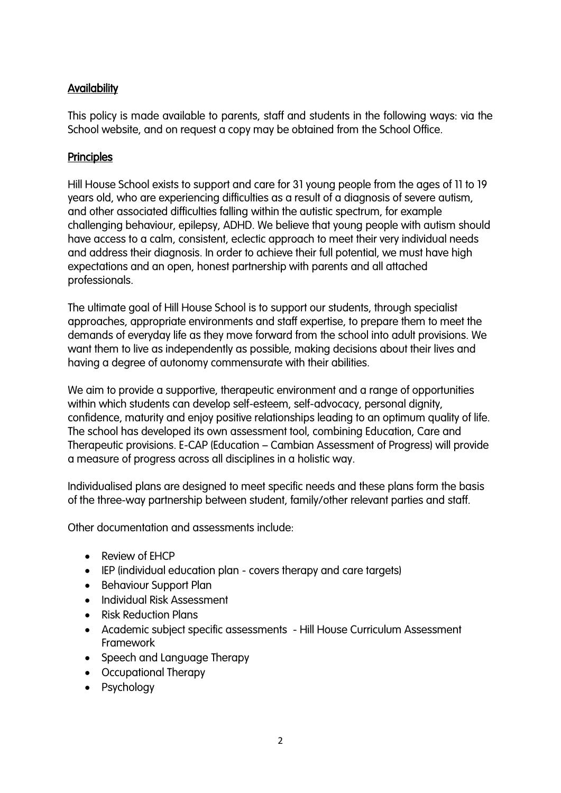# **Availability**

This policy is made available to parents, staff and students in the following ways: via the School website, and on request a copy may be obtained from the School Office.

# **Principles**

Hill House School exists to support and care for 31 young people from the ages of 11 to 19 years old, who are experiencing difficulties as a result of a diagnosis of severe autism, and other associated difficulties falling within the autistic spectrum, for example challenging behaviour, epilepsy, ADHD. We believe that young people with autism should have access to a calm, consistent, eclectic approach to meet their very individual needs and address their diagnosis. In order to achieve their full potential, we must have high expectations and an open, honest partnership with parents and all attached professionals.

The ultimate goal of Hill House School is to support our students, through specialist approaches, appropriate environments and staff expertise, to prepare them to meet the demands of everyday life as they move forward from the school into adult provisions. We want them to live as independently as possible, making decisions about their lives and having a degree of autonomy commensurate with their abilities.

We aim to provide a supportive, therapeutic environment and a range of opportunities within which students can develop self-esteem, self-advocacy, personal dignity, confidence, maturity and enjoy positive relationships leading to an optimum quality of life. The school has developed its own assessment tool, combining Education, Care and Therapeutic provisions. E-CAP (Education – Cambian Assessment of Progress) will provide a measure of progress across all disciplines in a holistic way.

Individualised plans are designed to meet specific needs and these plans form the basis of the three-way partnership between student, family/other relevant parties and staff.

Other documentation and assessments include:

- Review of EHCP
- IEP (individual education plan covers therapy and care targets)
- Behaviour Support Plan
- Individual Risk Assessment
- Risk Reduction Plans
- Academic subject specific assessments Hill House Curriculum Assessment Framework
- Speech and Language Therapy
- Occupational Therapy
- Psychology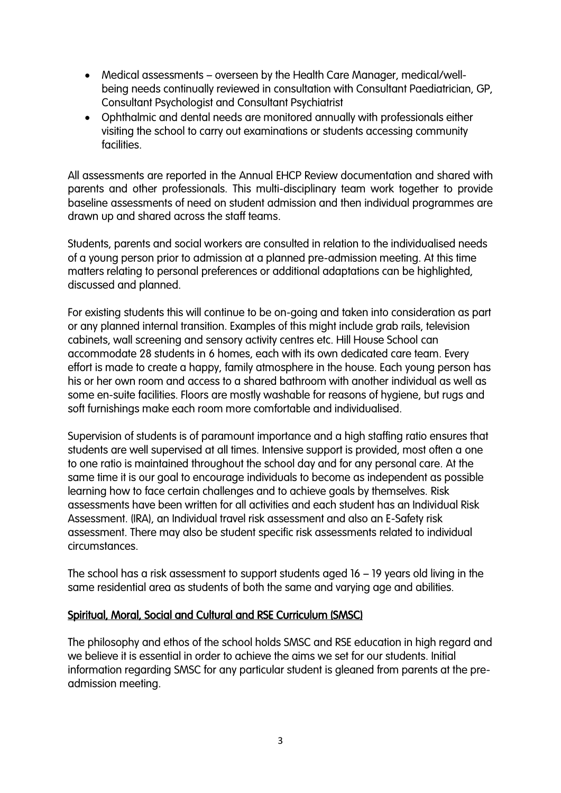- Medical assessments overseen by the Health Care Manager, medical/wellbeing needs continually reviewed in consultation with Consultant Paediatrician, GP, Consultant Psychologist and Consultant Psychiatrist
- Ophthalmic and dental needs are monitored annually with professionals either visiting the school to carry out examinations or students accessing community facilities.

All assessments are reported in the Annual EHCP Review documentation and shared with parents and other professionals. This multi-disciplinary team work together to provide baseline assessments of need on student admission and then individual programmes are drawn up and shared across the staff teams.

Students, parents and social workers are consulted in relation to the individualised needs of a young person prior to admission at a planned pre-admission meeting. At this time matters relating to personal preferences or additional adaptations can be highlighted, discussed and planned.

For existing students this will continue to be on-going and taken into consideration as part or any planned internal transition. Examples of this might include grab rails, television cabinets, wall screening and sensory activity centres etc. Hill House School can accommodate 28 students in 6 homes, each with its own dedicated care team. Every effort is made to create a happy, family atmosphere in the house. Each young person has his or her own room and access to a shared bathroom with another individual as well as some en-suite facilities. Floors are mostly washable for reasons of hygiene, but rugs and soft furnishings make each room more comfortable and individualised.

Supervision of students is of paramount importance and a high staffing ratio ensures that students are well supervised at all times. Intensive support is provided, most often a one to one ratio is maintained throughout the school day and for any personal care. At the same time it is our goal to encourage individuals to become as independent as possible learning how to face certain challenges and to achieve goals by themselves. Risk assessments have been written for all activities and each student has an Individual Risk Assessment. (IRA), an Individual travel risk assessment and also an E-Safety risk assessment. There may also be student specific risk assessments related to individual circumstances.

The school has a risk assessment to support students aged 16 – 19 years old living in the same residential area as students of both the same and varying age and abilities.

## Spiritual, Moral, Social and Cultural and RSE Curriculum (SMSC)

The philosophy and ethos of the school holds SMSC and RSE education in high regard and we believe it is essential in order to achieve the aims we set for our students. Initial information regarding SMSC for any particular student is gleaned from parents at the preadmission meeting.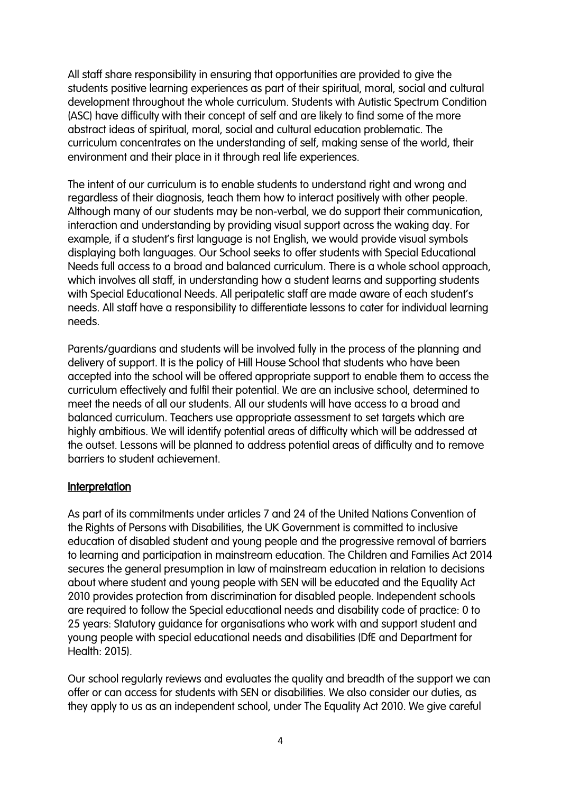All staff share responsibility in ensuring that opportunities are provided to give the students positive learning experiences as part of their spiritual, moral, social and cultural development throughout the whole curriculum. Students with Autistic Spectrum Condition (ASC) have difficulty with their concept of self and are likely to find some of the more abstract ideas of spiritual, moral, social and cultural education problematic. The curriculum concentrates on the understanding of self, making sense of the world, their environment and their place in it through real life experiences.

The intent of our curriculum is to enable students to understand right and wrong and regardless of their diagnosis, teach them how to interact positively with other people. Although many of our students may be non-verbal, we do support their communication, interaction and understanding by providing visual support across the waking day. For example, if a student's first language is not English, we would provide visual symbols displaying both languages. Our School seeks to offer students with Special Educational Needs full access to a broad and balanced curriculum. There is a whole school approach, which involves all staff, in understanding how a student learns and supporting students with Special Educational Needs. All peripatetic staff are made aware of each student's needs. All staff have a responsibility to differentiate lessons to cater for individual learning needs.

Parents/guardians and students will be involved fully in the process of the planning and delivery of support. It is the policy of Hill House School that students who have been accepted into the school will be offered appropriate support to enable them to access the curriculum effectively and fulfil their potential. We are an inclusive school, determined to meet the needs of all our students. All our students will have access to a broad and balanced curriculum. Teachers use appropriate assessment to set targets which are highly ambitious. We will identify potential areas of difficulty which will be addressed at the outset. Lessons will be planned to address potential areas of difficulty and to remove barriers to student achievement.

#### **Interpretation**

As part of its commitments under articles 7 and 24 of the United Nations Convention of the Rights of Persons with Disabilities, the UK Government is committed to inclusive education of disabled student and young people and the progressive removal of barriers to learning and participation in mainstream education. The Children and Families Act 2014 secures the general presumption in law of mainstream education in relation to decisions about where student and young people with SEN will be educated and the Equality Act 2010 provides protection from discrimination for disabled people. Independent schools are required to follow the Special educational needs and disability code of practice: 0 to 25 years: Statutory guidance for organisations who work with and support student and young people with special educational needs and disabilities (DfE and Department for Health: 2015).

Our school regularly reviews and evaluates the quality and breadth of the support we can offer or can access for students with SEN or disabilities. We also consider our duties, as they apply to us as an independent school, under The Equality Act 2010. We give careful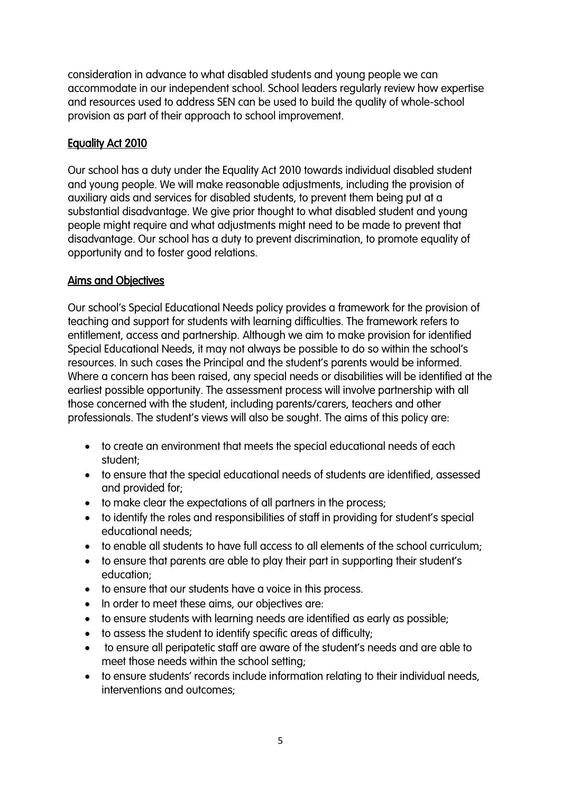consideration in advance to what disabled students and young people we can accommodate in our independent school. School leaders regularly review how expertise and resources used to address SEN can be used to build the quality of whole-school provision as part of their approach to school improvement.

# Equality Act 2010

Our school has a duty under the Equality Act 2010 towards individual disabled student and young people. We will make reasonable adjustments, including the provision of auxiliary aids and services for disabled students, to prevent them being put at a substantial disadvantage. We give prior thought to what disabled student and young people might require and what adjustments might need to be made to prevent that disadvantage. Our school has a duty to prevent discrimination, to promote equality of opportunity and to foster good relations.

# Aims and Objectives

Our school's Special Educational Needs policy provides a framework for the provision of teaching and support for students with learning difficulties. The framework refers to entitlement, access and partnership. Although we aim to make provision for identified Special Educational Needs, it may not always be possible to do so within the school's resources. In such cases the Principal and the student's parents would be informed. Where a concern has been raised, any special needs or disabilities will be identified at the earliest possible opportunity. The assessment process will involve partnership with all those concerned with the student, including parents/carers, teachers and other professionals. The student's views will also be sought. The aims of this policy are:

- to create an environment that meets the special educational needs of each student;
- to ensure that the special educational needs of students are identified, assessed and provided for;
- to make clear the expectations of all partners in the process;
- to identify the roles and responsibilities of staff in providing for student's special educational needs;
- to enable all students to have full access to all elements of the school curriculum;
- to ensure that parents are able to play their part in supporting their student's education;
- to ensure that our students have a voice in this process.
- In order to meet these aims, our objectives are:
- to ensure students with learning needs are identified as early as possible;
- to assess the student to identify specific areas of difficulty;
- to ensure all peripatetic staff are aware of the student's needs and are able to meet those needs within the school setting;
- to ensure students' records include information relating to their individual needs, interventions and outcomes;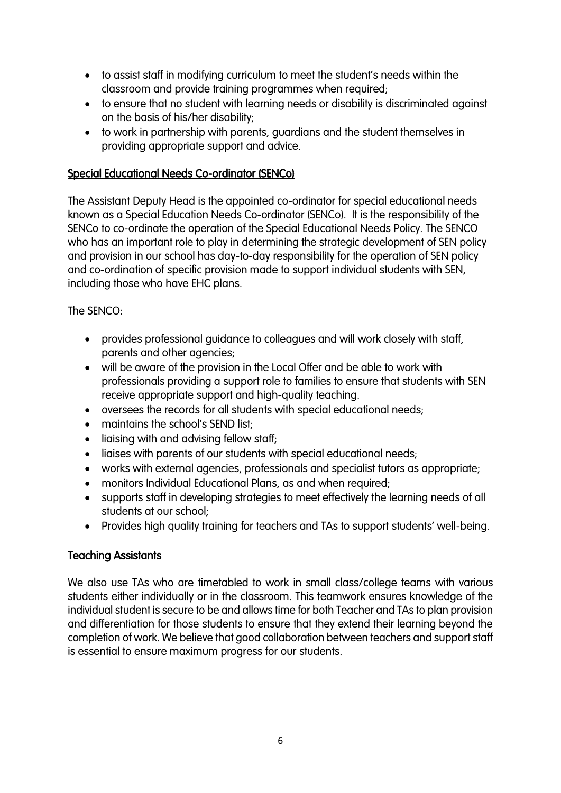- to assist staff in modifying curriculum to meet the student's needs within the classroom and provide training programmes when required;
- to ensure that no student with learning needs or disability is discriminated against on the basis of his/her disability;
- to work in partnership with parents, guardians and the student themselves in providing appropriate support and advice.

## Special Educational Needs Co-ordinator (SENCo)

The Assistant Deputy Head is the appointed co-ordinator for special educational needs known as a Special Education Needs Co-ordinator (SENCo). It is the responsibility of the SENCo to co-ordinate the operation of the Special Educational Needs Policy. The SENCO who has an important role to play in determining the strategic development of SEN policy and provision in our school has day-to-day responsibility for the operation of SEN policy and co-ordination of specific provision made to support individual students with SEN, including those who have EHC plans.

The SENCO:

- provides professional guidance to colleagues and will work closely with staff, parents and other agencies;
- will be aware of the provision in the Local Offer and be able to work with professionals providing a support role to families to ensure that students with SEN receive appropriate support and high-quality teaching.
- oversees the records for all students with special educational needs;
- maintains the school's SEND list;
- liaising with and advising fellow staff;
- liaises with parents of our students with special educational needs;
- works with external agencies, professionals and specialist tutors as appropriate;
- monitors Individual Educational Plans, as and when required;
- supports staff in developing strategies to meet effectively the learning needs of all students at our school;
- Provides high quality training for teachers and TAs to support students' well-being.

## **Teaching Assistants**

We also use TAs who are timetabled to work in small class/college teams with various students either individually or in the classroom. This teamwork ensures knowledge of the individual student is secure to be and allows time for both Teacher and TAs to plan provision and differentiation for those students to ensure that they extend their learning beyond the completion of work. We believe that good collaboration between teachers and support staff is essential to ensure maximum progress for our students.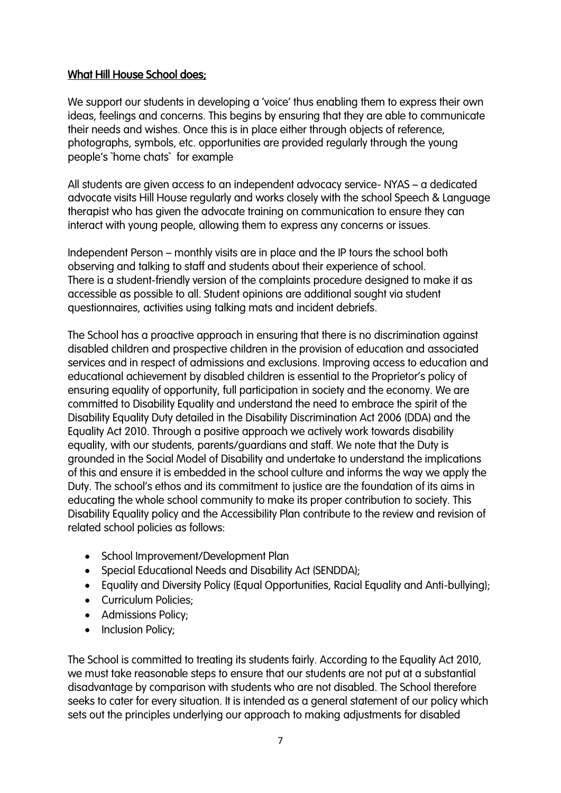## What Hill House School does;

We support our students in developing a 'voice' thus enabling them to express their own ideas, feelings and concerns. This begins by ensuring that they are able to communicate their needs and wishes. Once this is in place either through objects of reference, photographs, symbols, etc. opportunities are provided regularly through the young people's `home chats` for example

All students are given access to an independent advocacy service- NYAS – a dedicated advocate visits Hill House regularly and works closely with the school Speech & Language therapist who has given the advocate training on communication to ensure they can interact with young people, allowing them to express any concerns or issues.

Independent Person – monthly visits are in place and the IP tours the school both observing and talking to staff and students about their experience of school. There is a student-friendly version of the complaints procedure designed to make it as accessible as possible to all. Student opinions are additional sought via student questionnaires, activities using talking mats and incident debriefs.

The School has a proactive approach in ensuring that there is no discrimination against disabled children and prospective children in the provision of education and associated services and in respect of admissions and exclusions. Improving access to education and educational achievement by disabled children is essential to the Proprietor's policy of ensuring equality of opportunity, full participation in society and the economy. We are committed to Disability Equality and understand the need to embrace the spirit of the Disability Equality Duty detailed in the Disability Discrimination Act 2006 (DDA) and the Equality Act 2010. Through a positive approach we actively work towards disability equality, with our students, parents/guardians and staff. We note that the Duty is grounded in the Social Model of Disability and undertake to understand the implications of this and ensure it is embedded in the school culture and informs the way we apply the Duty. The school's ethos and its commitment to justice are the foundation of its aims in educating the whole school community to make its proper contribution to society. This Disability Equality policy and the Accessibility Plan contribute to the review and revision of related school policies as follows:

- School Improvement/Development Plan
- Special Educational Needs and Disability Act (SENDDA);
- Equality and Diversity Policy (Equal Opportunities, Racial Equality and Anti-bullying);
- Curriculum Policies;
- Admissions Policy;
- Inclusion Policy;

The School is committed to treating its students fairly. According to the Equality Act 2010, we must take reasonable steps to ensure that our students are not put at a substantial disadvantage by comparison with students who are not disabled. The School therefore seeks to cater for every situation. It is intended as a general statement of our policy which sets out the principles underlying our approach to making adjustments for disabled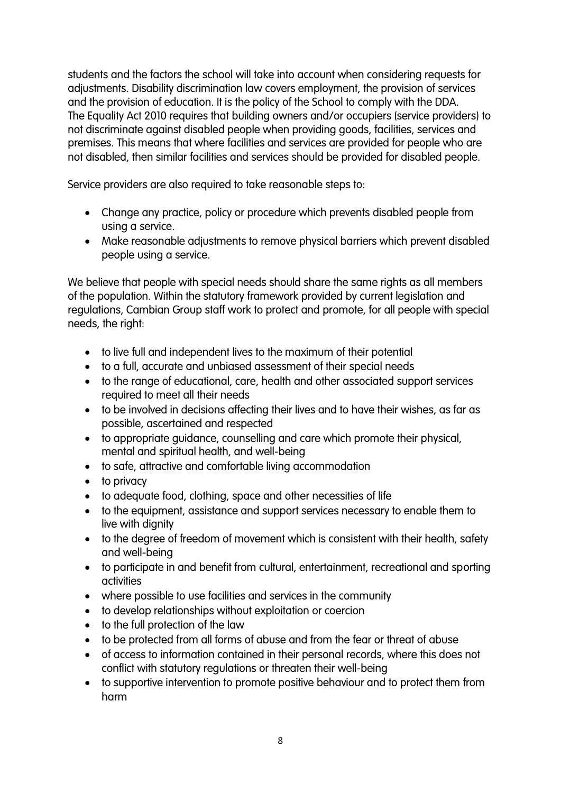students and the factors the school will take into account when considering requests for adjustments. Disability discrimination law covers employment, the provision of services and the provision of education. It is the policy of the School to comply with the DDA. The Equality Act 2010 requires that building owners and/or occupiers (service providers) to not discriminate against disabled people when providing goods, facilities, services and premises. This means that where facilities and services are provided for people who are not disabled, then similar facilities and services should be provided for disabled people.

Service providers are also required to take reasonable steps to:

- Change any practice, policy or procedure which prevents disabled people from using a service.
- Make reasonable adjustments to remove physical barriers which prevent disabled people using a service.

We believe that people with special needs should share the same rights as all members of the population. Within the statutory framework provided by current legislation and regulations, Cambian Group staff work to protect and promote, for all people with special needs, the right:

- to live full and independent lives to the maximum of their potential
- to a full, accurate and unbiased assessment of their special needs
- to the range of educational, care, health and other associated support services required to meet all their needs
- to be involved in decisions affecting their lives and to have their wishes, as far as possible, ascertained and respected
- to appropriate guidance, counselling and care which promote their physical, mental and spiritual health, and well-being
- to safe, attractive and comfortable living accommodation
- to privacy
- to adequate food, clothing, space and other necessities of life
- to the equipment, assistance and support services necessary to enable them to live with dignity
- to the degree of freedom of movement which is consistent with their health, safety and well-being
- to participate in and benefit from cultural, entertainment, recreational and sporting activities
- where possible to use facilities and services in the community
- to develop relationships without exploitation or coercion
- to the full protection of the law
- to be protected from all forms of abuse and from the fear or threat of abuse
- of access to information contained in their personal records, where this does not conflict with statutory regulations or threaten their well-being
- to supportive intervention to promote positive behaviour and to protect them from harm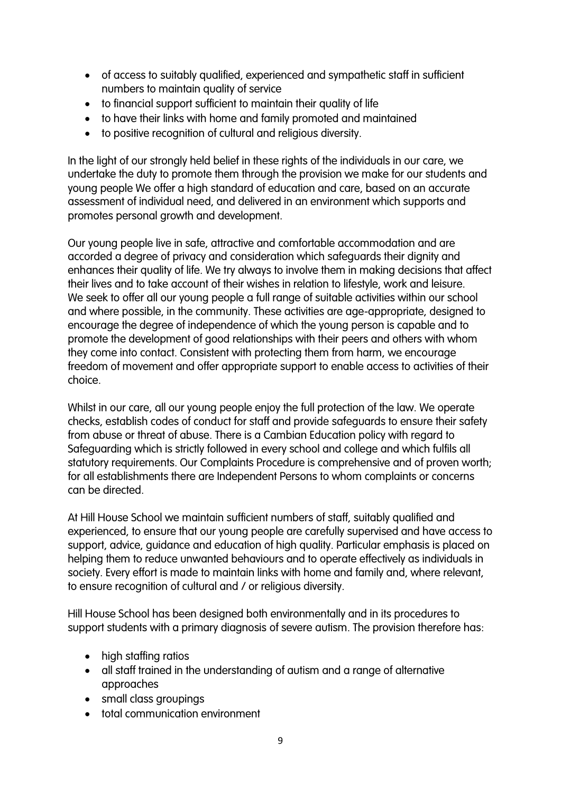- of access to suitably qualified, experienced and sympathetic staff in sufficient numbers to maintain quality of service
- to financial support sufficient to maintain their quality of life
- to have their links with home and family promoted and maintained
- to positive recognition of cultural and religious diversity.

In the light of our strongly held belief in these rights of the individuals in our care, we undertake the duty to promote them through the provision we make for our students and young people We offer a high standard of education and care, based on an accurate assessment of individual need, and delivered in an environment which supports and promotes personal growth and development.

Our young people live in safe, attractive and comfortable accommodation and are accorded a degree of privacy and consideration which safeguards their dignity and enhances their quality of life. We try always to involve them in making decisions that affect their lives and to take account of their wishes in relation to lifestyle, work and leisure. We seek to offer all our young people a full range of suitable activities within our school and where possible, in the community. These activities are age-appropriate, designed to encourage the degree of independence of which the young person is capable and to promote the development of good relationships with their peers and others with whom they come into contact. Consistent with protecting them from harm, we encourage freedom of movement and offer appropriate support to enable access to activities of their choice.

Whilst in our care, all our young people enjoy the full protection of the law. We operate checks, establish codes of conduct for staff and provide safeguards to ensure their safety from abuse or threat of abuse. There is a Cambian Education policy with regard to Safeguarding which is strictly followed in every school and college and which fulfils all statutory requirements. Our Complaints Procedure is comprehensive and of proven worth; for all establishments there are Independent Persons to whom complaints or concerns can be directed.

At Hill House School we maintain sufficient numbers of staff, suitably qualified and experienced, to ensure that our young people are carefully supervised and have access to support, advice, guidance and education of high quality. Particular emphasis is placed on helping them to reduce unwanted behaviours and to operate effectively as individuals in society. Every effort is made to maintain links with home and family and, where relevant, to ensure recognition of cultural and / or religious diversity.

Hill House School has been designed both environmentally and in its procedures to support students with a primary diagnosis of severe autism. The provision therefore has:

- high staffing ratios
- all staff trained in the understanding of autism and a range of alternative approaches
- small class groupings
- total communication environment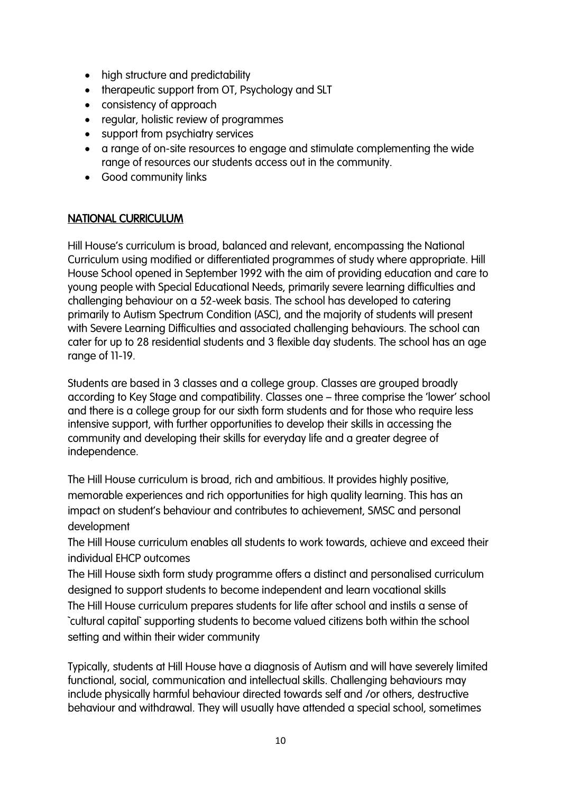- high structure and predictability
- therapeutic support from OT, Psychology and SLT
- consistency of approach
- regular, holistic review of programmes
- support from psychiatry services
- a range of on-site resources to engage and stimulate complementing the wide range of resources our students access out in the community.
- Good community links

#### NATIONAL CURRICULUM

Hill House's curriculum is broad, balanced and relevant, encompassing the National Curriculum using modified or differentiated programmes of study where appropriate. Hill House School opened in September 1992 with the aim of providing education and care to young people with Special Educational Needs, primarily severe learning difficulties and challenging behaviour on a 52-week basis. The school has developed to catering primarily to Autism Spectrum Condition (ASC), and the majority of students will present with Severe Learning Difficulties and associated challenging behaviours. The school can cater for up to 28 residential students and 3 flexible day students. The school has an age range of 11-19.

Students are based in 3 classes and a college group. Classes are grouped broadly according to Key Stage and compatibility. Classes one – three comprise the 'lower' school and there is a college group for our sixth form students and for those who require less intensive support, with further opportunities to develop their skills in accessing the community and developing their skills for everyday life and a greater degree of independence.

The Hill House curriculum is broad, rich and ambitious. It provides highly positive, memorable experiences and rich opportunities for high quality learning. This has an impact on student's behaviour and contributes to achievement, SMSC and personal development

The Hill House curriculum enables all students to work towards, achieve and exceed their individual EHCP outcomes

The Hill House sixth form study programme offers a distinct and personalised curriculum designed to support students to become independent and learn vocational skills The Hill House curriculum prepares students for life after school and instils a sense of `cultural capital` supporting students to become valued citizens both within the school setting and within their wider community

Typically, students at Hill House have a diagnosis of Autism and will have severely limited functional, social, communication and intellectual skills. Challenging behaviours may include physically harmful behaviour directed towards self and /or others, destructive behaviour and withdrawal. They will usually have attended a special school, sometimes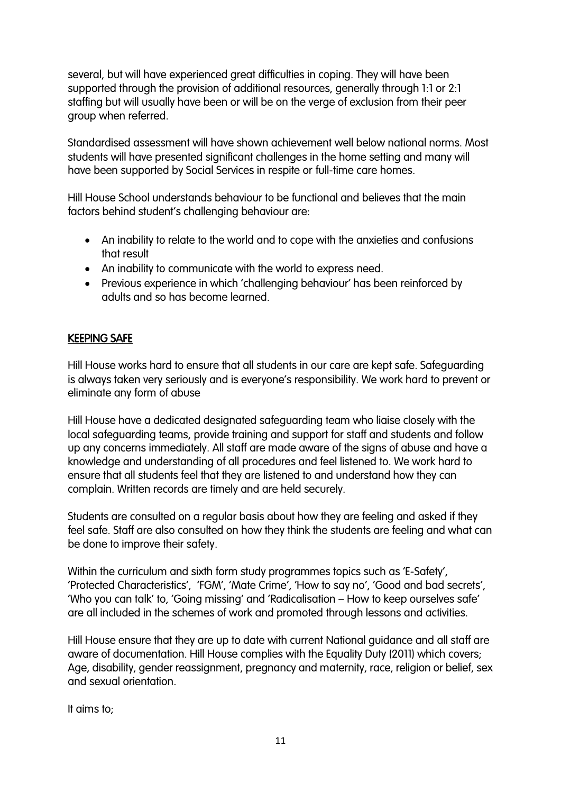several, but will have experienced great difficulties in coping. They will have been supported through the provision of additional resources, generally through 1:1 or 2:1 staffing but will usually have been or will be on the verge of exclusion from their peer group when referred.

Standardised assessment will have shown achievement well below national norms. Most students will have presented significant challenges in the home setting and many will have been supported by Social Services in respite or full-time care homes.

Hill House School understands behaviour to be functional and believes that the main factors behind student's challenging behaviour are:

- An inability to relate to the world and to cope with the anxieties and confusions that result
- An inability to communicate with the world to express need.
- Previous experience in which 'challenging behaviour' has been reinforced by adults and so has become learned.

## KEEPING SAFE

Hill House works hard to ensure that all students in our care are kept safe. Safeguarding is always taken very seriously and is everyone's responsibility. We work hard to prevent or eliminate any form of abuse

Hill House have a dedicated designated safeguarding team who liaise closely with the local safeguarding teams, provide training and support for staff and students and follow up any concerns immediately. All staff are made aware of the signs of abuse and have a knowledge and understanding of all procedures and feel listened to. We work hard to ensure that all students feel that they are listened to and understand how they can complain. Written records are timely and are held securely.

Students are consulted on a regular basis about how they are feeling and asked if they feel safe. Staff are also consulted on how they think the students are feeling and what can be done to improve their safety.

Within the curriculum and sixth form study programmes topics such as 'E-Safety', 'Protected Characteristics', 'FGM', 'Mate Crime', 'How to say no', 'Good and bad secrets', 'Who you can talk' to, 'Going missing' and 'Radicalisation – How to keep ourselves safe' are all included in the schemes of work and promoted through lessons and activities.

Hill House ensure that they are up to date with current National guidance and all staff are aware of documentation. Hill House complies with the Equality Duty (2011) which covers; Age, disability, gender reassignment, pregnancy and maternity, race, religion or belief, sex and sexual orientation.

It aims to;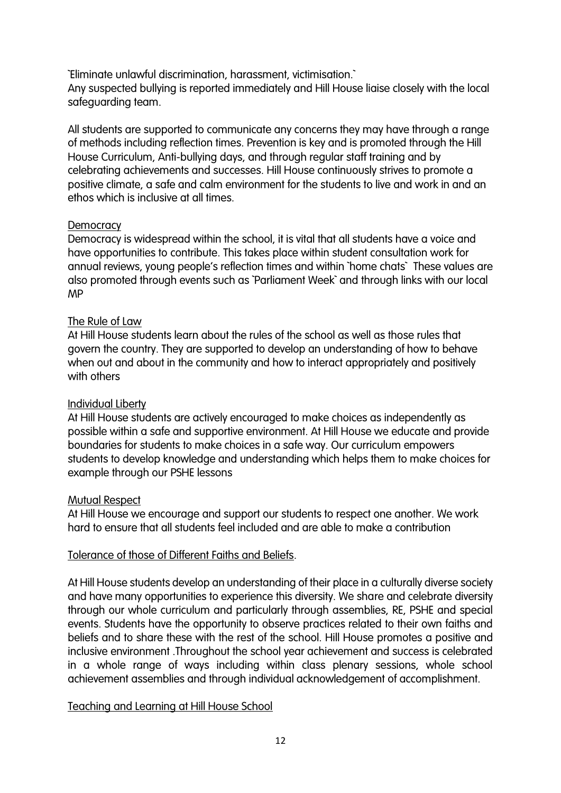`Eliminate unlawful discrimination, harassment, victimisation.` Any suspected bullying is reported immediately and Hill House liaise closely with the local safeguarding team.

All students are supported to communicate any concerns they may have through a range of methods including reflection times. Prevention is key and is promoted through the Hill House Curriculum, Anti-bullying days, and through regular staff training and by celebrating achievements and successes. Hill House continuously strives to promote a positive climate, a safe and calm environment for the students to live and work in and an ethos which is inclusive at all times.

#### **Democracy**

Democracy is widespread within the school, it is vital that all students have a voice and have opportunities to contribute. This takes place within student consultation work for annual reviews, young people's reflection times and within `home chats` These values are also promoted through events such as `Parliament Week` and through links with our local MP

#### The Rule of Law

At Hill House students learn about the rules of the school as well as those rules that govern the country. They are supported to develop an understanding of how to behave when out and about in the community and how to interact appropriately and positively with others

## Individual Liberty

At Hill House students are actively encouraged to make choices as independently as possible within a safe and supportive environment. At Hill House we educate and provide boundaries for students to make choices in a safe way. Our curriculum empowers students to develop knowledge and understanding which helps them to make choices for example through our PSHE lessons

#### Mutual Respect

At Hill House we encourage and support our students to respect one another. We work hard to ensure that all students feel included and are able to make a contribution

#### Tolerance of those of Different Faiths and Beliefs.

At Hill House students develop an understanding of their place in a culturally diverse society and have many opportunities to experience this diversity. We share and celebrate diversity through our whole curriculum and particularly through assemblies, RE, PSHE and special events. Students have the opportunity to observe practices related to their own faiths and beliefs and to share these with the rest of the school. Hill House promotes a positive and inclusive environment .Throughout the school year achievement and success is celebrated in a whole range of ways including within class plenary sessions, whole school achievement assemblies and through individual acknowledgement of accomplishment.

## Teaching and Learning at Hill House School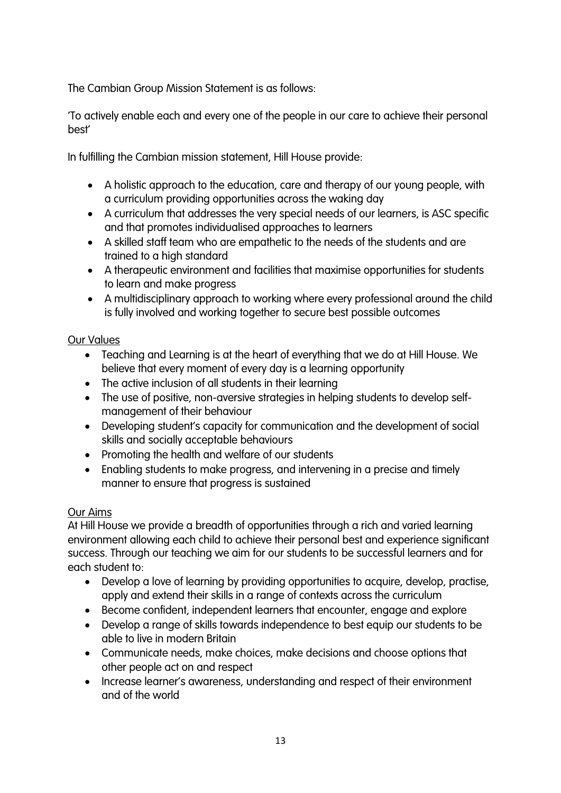The Cambian Group Mission Statement is as follows:

'To actively enable each and every one of the people in our care to achieve their personal best'

In fulfilling the Cambian mission statement, Hill House provide:

- A holistic approach to the education, care and therapy of our young people, with a curriculum providing opportunities across the waking day
- A curriculum that addresses the very special needs of our learners, is ASC specific and that promotes individualised approaches to learners
- A skilled staff team who are empathetic to the needs of the students and are trained to a high standard
- A therapeutic environment and facilities that maximise opportunities for students to learn and make progress
- A multidisciplinary approach to working where every professional around the child is fully involved and working together to secure best possible outcomes

## Our Values

- Teaching and Learning is at the heart of everything that we do at Hill House. We believe that every moment of every day is a learning opportunity
- The active inclusion of all students in their learning
- The use of positive, non-aversive strategies in helping students to develop selfmanagement of their behaviour
- Developing student's capacity for communication and the development of social skills and socially acceptable behaviours
- Promoting the health and welfare of our students
- Enabling students to make progress, and intervening in a precise and timely manner to ensure that progress is sustained

## Our Aims

At Hill House we provide a breadth of opportunities through a rich and varied learning environment allowing each child to achieve their personal best and experience significant success. Through our teaching we aim for our students to be successful learners and for each student to:

- Develop a love of learning by providing opportunities to acquire, develop, practise, apply and extend their skills in a range of contexts across the curriculum
- Become confident, independent learners that encounter, engage and explore
- Develop a range of skills towards independence to best equip our students to be able to live in modern Britain
- Communicate needs, make choices, make decisions and choose options that other people act on and respect
- Increase learner's awareness, understanding and respect of their environment and of the world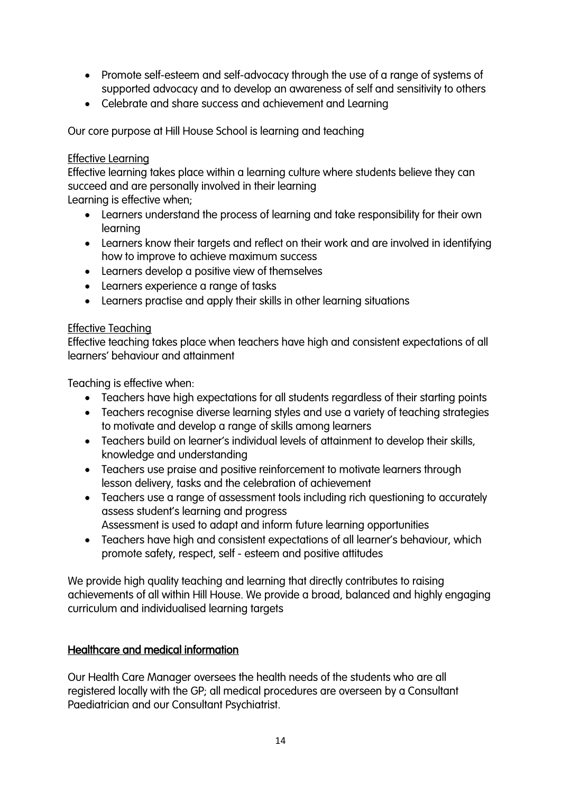- Promote self-esteem and self-advocacy through the use of a range of systems of supported advocacy and to develop an awareness of self and sensitivity to others
- Celebrate and share success and achievement and Learning

Our core purpose at Hill House School is learning and teaching

#### Effective Learning

Effective learning takes place within a learning culture where students believe they can succeed and are personally involved in their learning

Learning is effective when;

- Learners understand the process of learning and take responsibility for their own learning
- Learners know their targets and reflect on their work and are involved in identifying how to improve to achieve maximum success
- Learners develop a positive view of themselves
- Learners experience a range of tasks
- Learners practise and apply their skills in other learning situations

#### Effective Teaching

Effective teaching takes place when teachers have high and consistent expectations of all learners' behaviour and attainment

Teaching is effective when:

- Teachers have high expectations for all students regardless of their starting points
- Teachers recognise diverse learning styles and use a variety of teaching strategies to motivate and develop a range of skills among learners
- Teachers build on learner's individual levels of attainment to develop their skills, knowledge and understanding
- Teachers use praise and positive reinforcement to motivate learners through lesson delivery, tasks and the celebration of achievement
- Teachers use a range of assessment tools including rich questioning to accurately assess student's learning and progress Assessment is used to adapt and inform future learning opportunities
- Teachers have high and consistent expectations of all learner's behaviour, which promote safety, respect, self - esteem and positive attitudes

We provide high quality teaching and learning that directly contributes to raising achievements of all within Hill House. We provide a broad, balanced and highly engaging curriculum and individualised learning targets

## Healthcare and medical information

Our Health Care Manager oversees the health needs of the students who are all registered locally with the GP; all medical procedures are overseen by a Consultant Paediatrician and our Consultant Psychiatrist.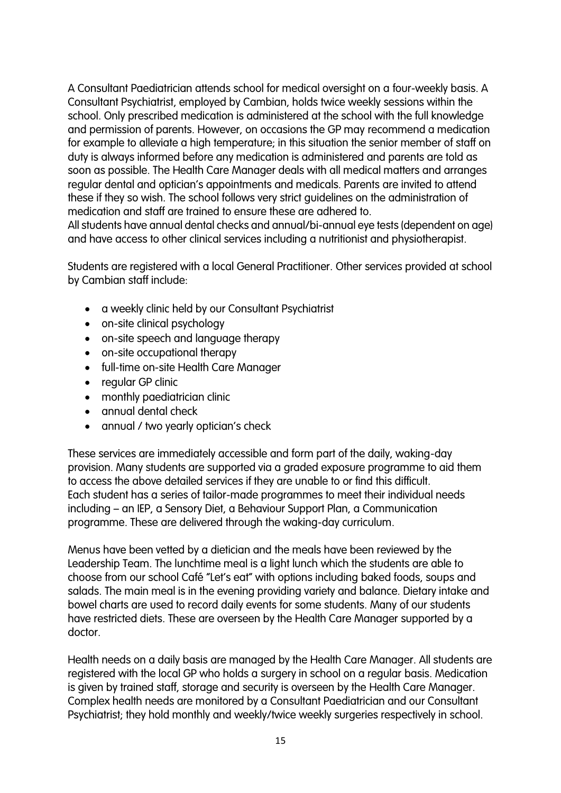A Consultant Paediatrician attends school for medical oversight on a four-weekly basis. A Consultant Psychiatrist, employed by Cambian, holds twice weekly sessions within the school. Only prescribed medication is administered at the school with the full knowledge and permission of parents. However, on occasions the GP may recommend a medication for example to alleviate a high temperature; in this situation the senior member of staff on duty is always informed before any medication is administered and parents are told as soon as possible. The Health Care Manager deals with all medical matters and arranges regular dental and optician's appointments and medicals. Parents are invited to attend these if they so wish. The school follows very strict guidelines on the administration of medication and staff are trained to ensure these are adhered to.

All students have annual dental checks and annual/bi-annual eye tests (dependent on age) and have access to other clinical services including a nutritionist and physiotherapist.

Students are registered with a local General Practitioner. Other services provided at school by Cambian staff include:

- a weekly clinic held by our Consultant Psychiatrist
- on-site clinical psychology
- on-site speech and language therapy
- on-site occupational therapy
- full-time on-site Health Care Manager
- regular GP clinic
- monthly paediatrician clinic
- annual dental check
- annual / two yearly optician's check

These services are immediately accessible and form part of the daily, waking-day provision. Many students are supported via a graded exposure programme to aid them to access the above detailed services if they are unable to or find this difficult. Each student has a series of tailor-made programmes to meet their individual needs including – an IEP, a Sensory Diet, a Behaviour Support Plan, a Communication programme. These are delivered through the waking-day curriculum.

Menus have been vetted by a dietician and the meals have been reviewed by the Leadership Team. The lunchtime meal is a light lunch which the students are able to choose from our school Café "Let's eat" with options including baked foods, soups and salads. The main meal is in the evening providing variety and balance. Dietary intake and bowel charts are used to record daily events for some students. Many of our students have restricted diets. These are overseen by the Health Care Manager supported by a doctor.

Health needs on a daily basis are managed by the Health Care Manager. All students are registered with the local GP who holds a surgery in school on a regular basis. Medication is given by trained staff, storage and security is overseen by the Health Care Manager. Complex health needs are monitored by a Consultant Paediatrician and our Consultant Psychiatrist; they hold monthly and weekly/twice weekly surgeries respectively in school.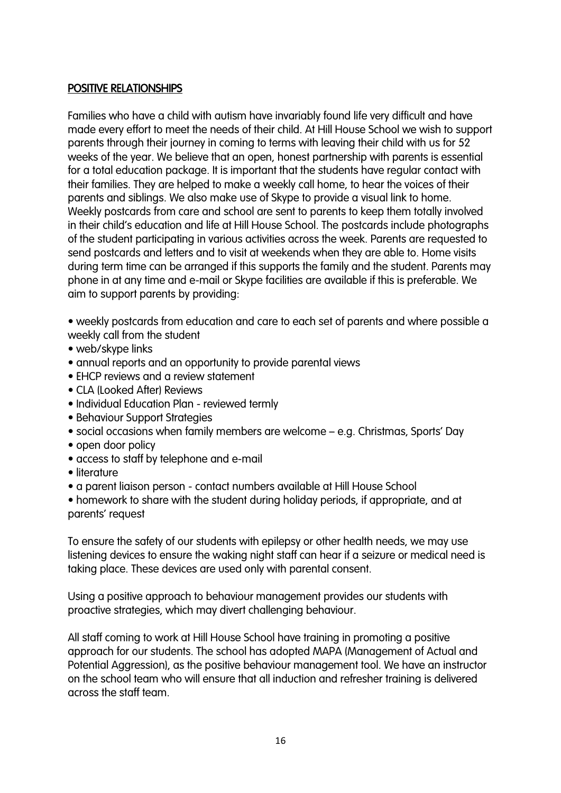## POSITIVE RELATIONSHIPS

Families who have a child with autism have invariably found life very difficult and have made every effort to meet the needs of their child. At Hill House School we wish to support parents through their journey in coming to terms with leaving their child with us for 52 weeks of the year. We believe that an open, honest partnership with parents is essential for a total education package. It is important that the students have regular contact with their families. They are helped to make a weekly call home, to hear the voices of their parents and siblings. We also make use of Skype to provide a visual link to home. Weekly postcards from care and school are sent to parents to keep them totally involved in their child's education and life at Hill House School. The postcards include photographs of the student participating in various activities across the week. Parents are requested to send postcards and letters and to visit at weekends when they are able to. Home visits during term time can be arranged if this supports the family and the student. Parents may phone in at any time and e-mail or Skype facilities are available if this is preferable. We aim to support parents by providing:

• weekly postcards from education and care to each set of parents and where possible a weekly call from the student

- web/skype links
- annual reports and an opportunity to provide parental views
- EHCP reviews and a review statement
- CLA (Looked After) Reviews
- Individual Education Plan reviewed termly
- Behaviour Support Strategies
- social occasions when family members are welcome e.g. Christmas, Sports' Day
- open door policy
- access to staff by telephone and e-mail
- literature
- a parent liaison person contact numbers available at Hill House School

• homework to share with the student during holiday periods, if appropriate, and at parents' request

To ensure the safety of our students with epilepsy or other health needs, we may use listening devices to ensure the waking night staff can hear if a seizure or medical need is taking place. These devices are used only with parental consent.

Using a positive approach to behaviour management provides our students with proactive strategies, which may divert challenging behaviour.

All staff coming to work at Hill House School have training in promoting a positive approach for our students. The school has adopted MAPA (Management of Actual and Potential Aggression), as the positive behaviour management tool. We have an instructor on the school team who will ensure that all induction and refresher training is delivered across the staff team.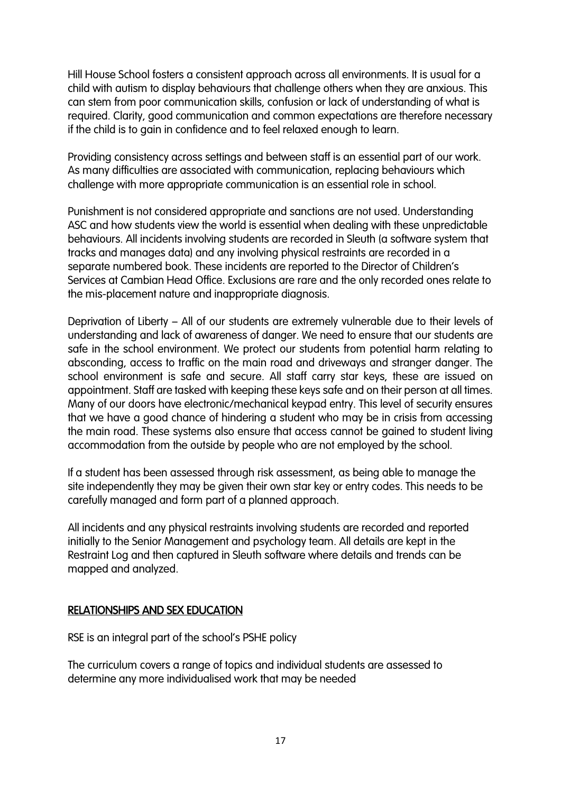Hill House School fosters a consistent approach across all environments. It is usual for a child with autism to display behaviours that challenge others when they are anxious. This can stem from poor communication skills, confusion or lack of understanding of what is required. Clarity, good communication and common expectations are therefore necessary if the child is to gain in confidence and to feel relaxed enough to learn.

Providing consistency across settings and between staff is an essential part of our work. As many difficulties are associated with communication, replacing behaviours which challenge with more appropriate communication is an essential role in school.

Punishment is not considered appropriate and sanctions are not used. Understanding ASC and how students view the world is essential when dealing with these unpredictable behaviours. All incidents involving students are recorded in Sleuth (a software system that tracks and manages data) and any involving physical restraints are recorded in a separate numbered book. These incidents are reported to the Director of Children's Services at Cambian Head Office. Exclusions are rare and the only recorded ones relate to the mis-placement nature and inappropriate diagnosis.

Deprivation of Liberty – All of our students are extremely vulnerable due to their levels of understanding and lack of awareness of danger. We need to ensure that our students are safe in the school environment. We protect our students from potential harm relating to absconding, access to traffic on the main road and driveways and stranger danger. The school environment is safe and secure. All staff carry star keys, these are issued on appointment. Staff are tasked with keeping these keys safe and on their person at all times. Many of our doors have electronic/mechanical keypad entry. This level of security ensures that we have a good chance of hindering a student who may be in crisis from accessing the main road. These systems also ensure that access cannot be gained to student living accommodation from the outside by people who are not employed by the school.

If a student has been assessed through risk assessment, as being able to manage the site independently they may be given their own star key or entry codes. This needs to be carefully managed and form part of a planned approach.

All incidents and any physical restraints involving students are recorded and reported initially to the Senior Management and psychology team. All details are kept in the Restraint Log and then captured in Sleuth software where details and trends can be mapped and analyzed.

#### RELATIONSHIPS AND SEX EDUCATION

RSE is an integral part of the school's PSHE policy

The curriculum covers a range of topics and individual students are assessed to determine any more individualised work that may be needed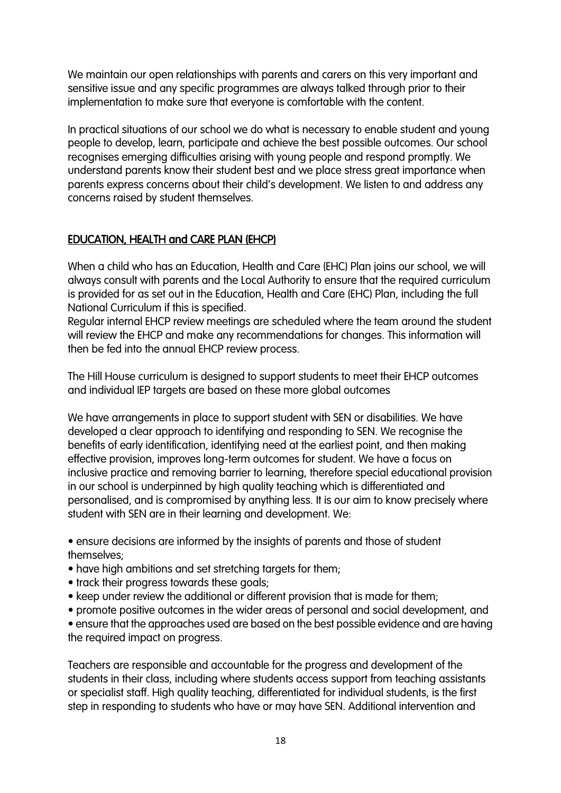We maintain our open relationships with parents and carers on this very important and sensitive issue and any specific programmes are always talked through prior to their implementation to make sure that everyone is comfortable with the content.

In practical situations of our school we do what is necessary to enable student and young people to develop, learn, participate and achieve the best possible outcomes. Our school recognises emerging difficulties arising with young people and respond promptly. We understand parents know their student best and we place stress great importance when parents express concerns about their child's development. We listen to and address any concerns raised by student themselves.

# EDUCATION, HEALTH and CARE PLAN (EHCP)

When a child who has an Education, Health and Care (EHC) Plan joins our school, we will always consult with parents and the Local Authority to ensure that the required curriculum is provided for as set out in the Education, Health and Care (EHC) Plan, including the full National Curriculum if this is specified.

Regular internal EHCP review meetings are scheduled where the team around the student will review the EHCP and make any recommendations for changes. This information will then be fed into the annual EHCP review process.

The Hill House curriculum is designed to support students to meet their EHCP outcomes and individual IEP targets are based on these more global outcomes

We have arrangements in place to support student with SEN or disabilities. We have developed a clear approach to identifying and responding to SEN. We recognise the benefits of early identification, identifying need at the earliest point, and then making effective provision, improves long-term outcomes for student. We have a focus on inclusive practice and removing barrier to learning, therefore special educational provision in our school is underpinned by high quality teaching which is differentiated and personalised, and is compromised by anything less. It is our aim to know precisely where student with SEN are in their learning and development. We:

• ensure decisions are informed by the insights of parents and those of student themselves;

- have high ambitions and set stretching targets for them;
- track their progress towards these goals;
- keep under review the additional or different provision that is made for them;
- promote positive outcomes in the wider areas of personal and social development, and
- ensure that the approaches used are based on the best possible evidence and are having the required impact on progress.

Teachers are responsible and accountable for the progress and development of the students in their class, including where students access support from teaching assistants or specialist staff. High quality teaching, differentiated for individual students, is the first step in responding to students who have or may have SEN. Additional intervention and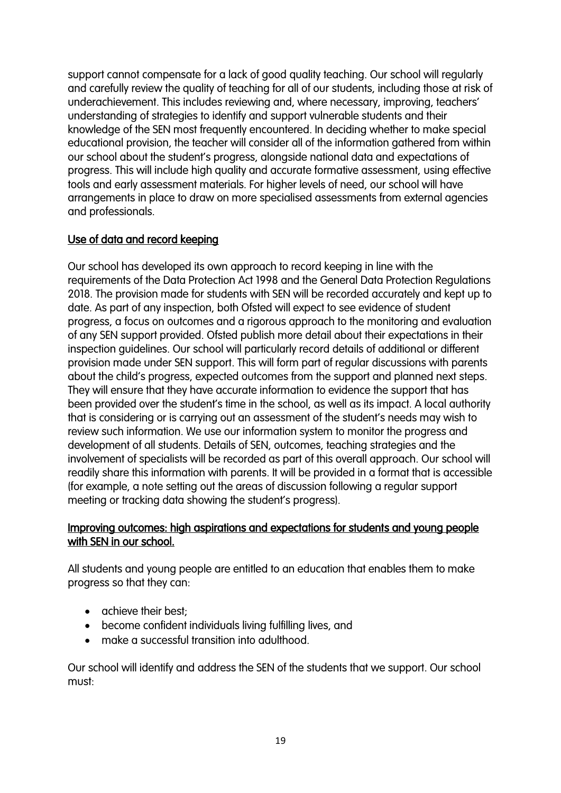support cannot compensate for a lack of good quality teaching. Our school will regularly and carefully review the quality of teaching for all of our students, including those at risk of underachievement. This includes reviewing and, where necessary, improving, teachers' understanding of strategies to identify and support vulnerable students and their knowledge of the SEN most frequently encountered. In deciding whether to make special educational provision, the teacher will consider all of the information gathered from within our school about the student's progress, alongside national data and expectations of progress. This will include high quality and accurate formative assessment, using effective tools and early assessment materials. For higher levels of need, our school will have arrangements in place to draw on more specialised assessments from external agencies and professionals.

# Use of data and record keeping

Our school has developed its own approach to record keeping in line with the requirements of the Data Protection Act 1998 and the General Data Protection Regulations 2018. The provision made for students with SEN will be recorded accurately and kept up to date. As part of any inspection, both Ofsted will expect to see evidence of student progress, a focus on outcomes and a rigorous approach to the monitoring and evaluation of any SEN support provided. Ofsted publish more detail about their expectations in their inspection guidelines. Our school will particularly record details of additional or different provision made under SEN support. This will form part of regular discussions with parents about the child's progress, expected outcomes from the support and planned next steps. They will ensure that they have accurate information to evidence the support that has been provided over the student's time in the school, as well as its impact. A local authority that is considering or is carrying out an assessment of the student's needs may wish to review such information. We use our information system to monitor the progress and development of all students. Details of SEN, outcomes, teaching strategies and the involvement of specialists will be recorded as part of this overall approach. Our school will readily share this information with parents. It will be provided in a format that is accessible (for example, a note setting out the areas of discussion following a regular support meeting or tracking data showing the student's progress).

## Improving outcomes: high aspirations and expectations for students and young people with SEN in our school.

All students and young people are entitled to an education that enables them to make progress so that they can:

- achieve their best;
- become confident individuals living fulfilling lives, and
- make a successful transition into adulthood.

Our school will identify and address the SEN of the students that we support. Our school must: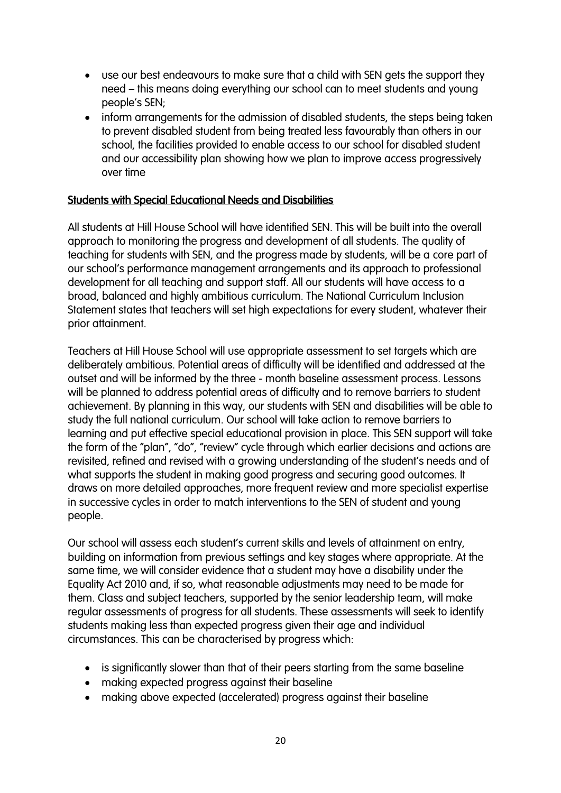- use our best endeavours to make sure that a child with SEN gets the support they need – this means doing everything our school can to meet students and young people's SEN;
- inform arrangements for the admission of disabled students, the steps being taken to prevent disabled student from being treated less favourably than others in our school, the facilities provided to enable access to our school for disabled student and our accessibility plan showing how we plan to improve access progressively over time

#### Students with Special Educational Needs and Disabilities

All students at Hill House School will have identified SEN. This will be built into the overall approach to monitoring the progress and development of all students. The quality of teaching for students with SEN, and the progress made by students, will be a core part of our school's performance management arrangements and its approach to professional development for all teaching and support staff. All our students will have access to a broad, balanced and highly ambitious curriculum. The National Curriculum Inclusion Statement states that teachers will set high expectations for every student, whatever their prior attainment.

Teachers at Hill House School will use appropriate assessment to set targets which are deliberately ambitious. Potential areas of difficulty will be identified and addressed at the outset and will be informed by the three - month baseline assessment process. Lessons will be planned to address potential areas of difficulty and to remove barriers to student achievement. By planning in this way, our students with SEN and disabilities will be able to study the full national curriculum. Our school will take action to remove barriers to learning and put effective special educational provision in place. This SEN support will take the form of the "plan", "do", "review" cycle through which earlier decisions and actions are revisited, refined and revised with a growing understanding of the student's needs and of what supports the student in making good progress and securing good outcomes. It draws on more detailed approaches, more frequent review and more specialist expertise in successive cycles in order to match interventions to the SEN of student and young people.

Our school will assess each student's current skills and levels of attainment on entry, building on information from previous settings and key stages where appropriate. At the same time, we will consider evidence that a student may have a disability under the Equality Act 2010 and, if so, what reasonable adjustments may need to be made for them. Class and subject teachers, supported by the senior leadership team, will make regular assessments of progress for all students. These assessments will seek to identify students making less than expected progress given their age and individual circumstances. This can be characterised by progress which:

- is significantly slower than that of their peers starting from the same baseline
- making expected progress against their baseline
- making above expected (accelerated) progress against their baseline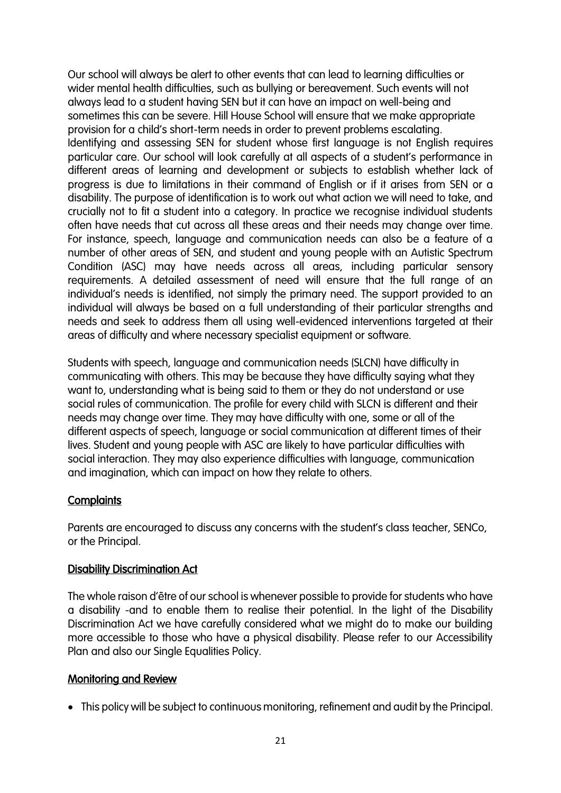Our school will always be alert to other events that can lead to learning difficulties or wider mental health difficulties, such as bullying or bereavement. Such events will not always lead to a student having SEN but it can have an impact on well-being and sometimes this can be severe. Hill House School will ensure that we make appropriate provision for a child's short-term needs in order to prevent problems escalating. Identifying and assessing SEN for student whose first language is not English requires particular care. Our school will look carefully at all aspects of a student's performance in different areas of learning and development or subjects to establish whether lack of progress is due to limitations in their command of English or if it arises from SEN or a disability. The purpose of identification is to work out what action we will need to take, and crucially not to fit a student into a category. In practice we recognise individual students often have needs that cut across all these areas and their needs may change over time. For instance, speech, language and communication needs can also be a feature of a number of other areas of SEN, and student and young people with an Autistic Spectrum Condition (ASC) may have needs across all areas, including particular sensory requirements. A detailed assessment of need will ensure that the full range of an individual's needs is identified, not simply the primary need. The support provided to an individual will always be based on a full understanding of their particular strengths and needs and seek to address them all using well-evidenced interventions targeted at their areas of difficulty and where necessary specialist equipment or software.

Students with speech, language and communication needs (SLCN) have difficulty in communicating with others. This may be because they have difficulty saying what they want to, understanding what is being said to them or they do not understand or use social rules of communication. The profile for every child with SLCN is different and their needs may change over time. They may have difficulty with one, some or all of the different aspects of speech, language or social communication at different times of their lives. Student and young people with ASC are likely to have particular difficulties with social interaction. They may also experience difficulties with language, communication and imagination, which can impact on how they relate to others.

## **Complaints**

Parents are encouraged to discuss any concerns with the student's class teacher, SENCo, or the Principal.

## **Disability Discrimination Act**

The whole raison d'être of our school is whenever possible to provide for students who have a disability -and to enable them to realise their potential. In the light of the Disability Discrimination Act we have carefully considered what we might do to make our building more accessible to those who have a physical disability. Please refer to our Accessibility Plan and also our Single Equalities Policy.

## Monitoring and Review

• This policy will be subject to continuous monitoring, refinement and audit by the Principal.